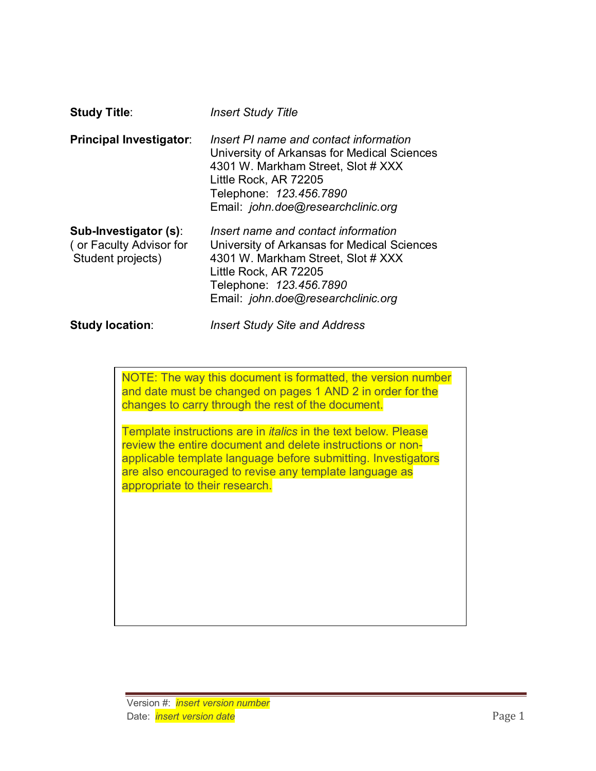| <b>Study Title:</b>                                                   | <b>Insert Study Title</b>                                                                                                                                                                                             |
|-----------------------------------------------------------------------|-----------------------------------------------------------------------------------------------------------------------------------------------------------------------------------------------------------------------|
| <b>Principal Investigator:</b>                                        | Insert PI name and contact information<br>University of Arkansas for Medical Sciences<br>4301 W. Markham Street, Slot # XXX<br>Little Rock, AR 72205<br>Telephone: 123.456.7890<br>Email: john.doe@researchclinic.org |
| Sub-Investigator (s):<br>(or Faculty Advisor for<br>Student projects) | Insert name and contact information<br>University of Arkansas for Medical Sciences<br>4301 W. Markham Street, Slot # XXX<br>Little Rock, AR 72205<br>Telephone: 123.456.7890<br>Email: john.doe@researchclinic.org    |
| <b>Study location:</b>                                                | <b>Insert Study Site and Address</b>                                                                                                                                                                                  |

NOTE: The way this document is formatted, the version number and date must be changed on pages 1 AND 2 in order for the changes to carry through the rest of the document.

Template instructions are in *italics* in the text below. Please review the entire document and delete instructions or nonapplicable template language before submitting. Investigators are also encouraged to revise any template language as appropriate to their research.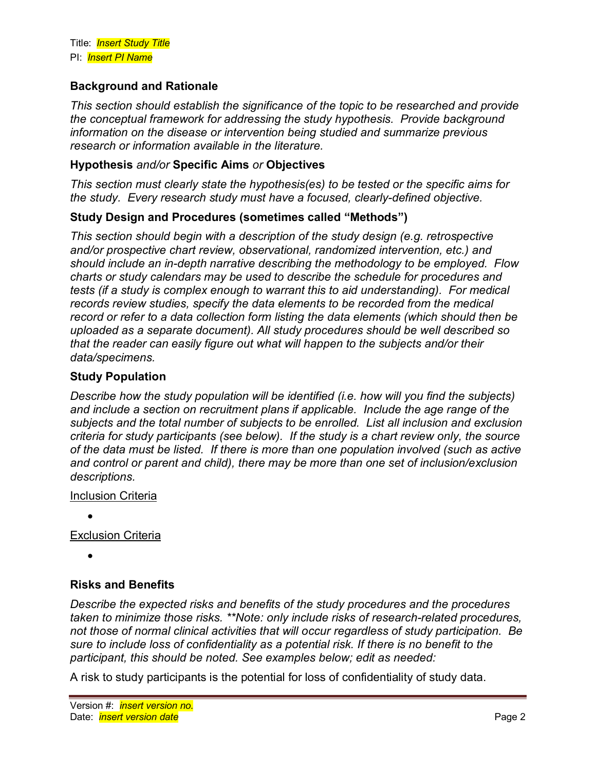## **Background and Rationale**

*This section should establish the significance of the topic to be researched and provide the conceptual framework for addressing the study hypothesis. Provide background information on the disease or intervention being studied and summarize previous research or information available in the literature.* 

### **Hypothesis** *and/or* **Specific Aims** *or* **Objectives**

*This section must clearly state the hypothesis(es) to be tested or the specific aims for the study. Every research study must have a focused, clearly-defined objective.*

### **Study Design and Procedures (sometimes called "Methods")**

*This section should begin with a description of the study design (e.g. retrospective and/or prospective chart review, observational, randomized intervention, etc.) and should include an in-depth narrative describing the methodology to be employed. Flow charts or study calendars may be used to describe the schedule for procedures and tests (if a study is complex enough to warrant this to aid understanding). For medical records review studies, specify the data elements to be recorded from the medical record or refer to a data collection form listing the data elements (which should then be uploaded as a separate document). All study procedures should be well described so that the reader can easily figure out what will happen to the subjects and/or their data/specimens.* 

### **Study Population**

*Describe how the study population will be identified (i.e. how will you find the subjects) and include a section on recruitment plans if applicable. Include the age range of the subjects and the total number of subjects to be enrolled. List all inclusion and exclusion criteria for study participants (see below). If the study is a chart review only, the source of the data must be listed. If there is more than one population involved (such as active and control or parent and child), there may be more than one set of inclusion/exclusion descriptions.* 

### Inclusion Criteria

•

Exclusion Criteria

•

## **Risks and Benefits**

*Describe the expected risks and benefits of the study procedures and the procedures taken to minimize those risks. \*\*Note: only include risks of research-related procedures, not those of normal clinical activities that will occur regardless of study participation. Be sure to include loss of confidentiality as a potential risk. If there is no benefit to the participant, this should be noted. See examples below; edit as needed:*

A risk to study participants is the potential for loss of confidentiality of study data.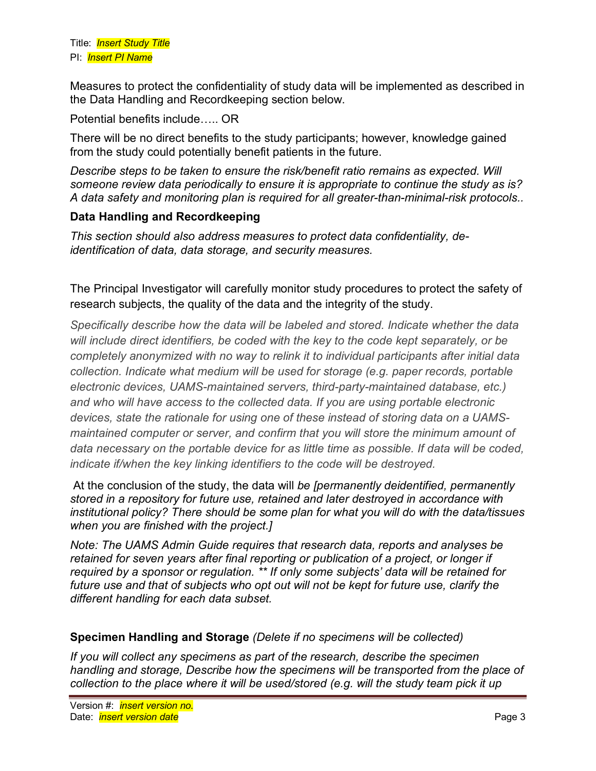Measures to protect the confidentiality of study data will be implemented as described in the Data Handling and Recordkeeping section below.

Potential benefits include….. OR

There will be no direct benefits to the study participants; however, knowledge gained from the study could potentially benefit patients in the future.

*Describe steps to be taken to ensure the risk/benefit ratio remains as expected. Will someone review data periodically to ensure it is appropriate to continue the study as is? A data safety and monitoring plan is required for all greater-than-minimal-risk protocols..*

## **Data Handling and Recordkeeping**

*This section should also address measures to protect data confidentiality, deidentification of data, data storage, and security measures.* 

The Principal Investigator will carefully monitor study procedures to protect the safety of research subjects, the quality of the data and the integrity of the study.

*Specifically describe how the data will be labeled and stored. Indicate whether the data will include direct identifiers, be coded with the key to the code kept separately, or be completely anonymized with no way to relink it to individual participants after initial data collection. Indicate what medium will be used for storage (e.g. paper records, portable electronic devices, UAMS-maintained servers, third-party-maintained database, etc.) and who will have access to the collected data. If you are using portable electronic devices, state the rationale for using one of these instead of storing data on a UAMSmaintained computer or server, and confirm that you will store the minimum amount of data necessary on the portable device for as little time as possible. If data will be coded, indicate if/when the key linking identifiers to the code will be destroyed.*

At the conclusion of the study, the data will *be [permanently deidentified, permanently stored in a repository for future use, retained and later destroyed in accordance with institutional policy? There should be some plan for what you will do with the data/tissues when you are finished with the project.]*

*Note: The UAMS Admin Guide requires that research data, reports and analyses be retained for seven years after final reporting or publication of a project, or longer if required by a sponsor or regulation. \*\* If only some subjects' data will be retained for future use and that of subjects who opt out will not be kept for future use, clarify the different handling for each data subset.*

## **Specimen Handling and Storage** *(Delete if no specimens will be collected)*

*If you will collect any specimens as part of the research, describe the specimen handling and storage, Describe how the specimens will be transported from the place of collection to the place where it will be used/stored (e.g. will the study team pick it up*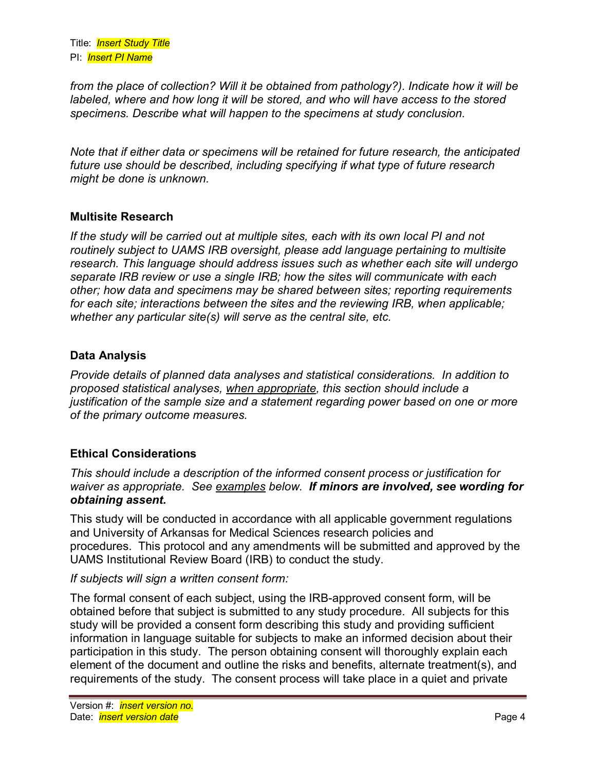*from the place of collection? Will it be obtained from pathology?). Indicate how it will be labeled, where and how long it will be stored, and who will have access to the stored specimens. Describe what will happen to the specimens at study conclusion.* 

*Note that if either data or specimens will be retained for future research, the anticipated future use should be described, including specifying if what type of future research might be done is unknown.*

## **Multisite Research**

*If the study will be carried out at multiple sites, each with its own local PI and not routinely subject to UAMS IRB oversight, please add language pertaining to multisite research. This language should address issues such as whether each site will undergo separate IRB review or use a single IRB; how the sites will communicate with each other; how data and specimens may be shared between sites; reporting requirements for each site; interactions between the sites and the reviewing IRB, when applicable; whether any particular site(s) will serve as the central site, etc.*

## **Data Analysis**

*Provide details of planned data analyses and statistical considerations. In addition to proposed statistical analyses, when appropriate, this section should include a justification of the sample size and a statement regarding power based on one or more of the primary outcome measures.* 

# **Ethical Considerations**

*This should include a description of the informed consent process or justification for waiver as appropriate. See examples below. If minors are involved, see wording for obtaining assent.* 

This study will be conducted in accordance with all applicable government regulations and University of Arkansas for Medical Sciences research policies and procedures. This protocol and any amendments will be submitted and approved by the UAMS Institutional Review Board (IRB) to conduct the study.

## *If subjects will sign a written consent form:*

The formal consent of each subject, using the IRB-approved consent form, will be obtained before that subject is submitted to any study procedure. All subjects for this study will be provided a consent form describing this study and providing sufficient information in language suitable for subjects to make an informed decision about their participation in this study. The person obtaining consent will thoroughly explain each element of the document and outline the risks and benefits, alternate treatment(s), and requirements of the study. The consent process will take place in a quiet and private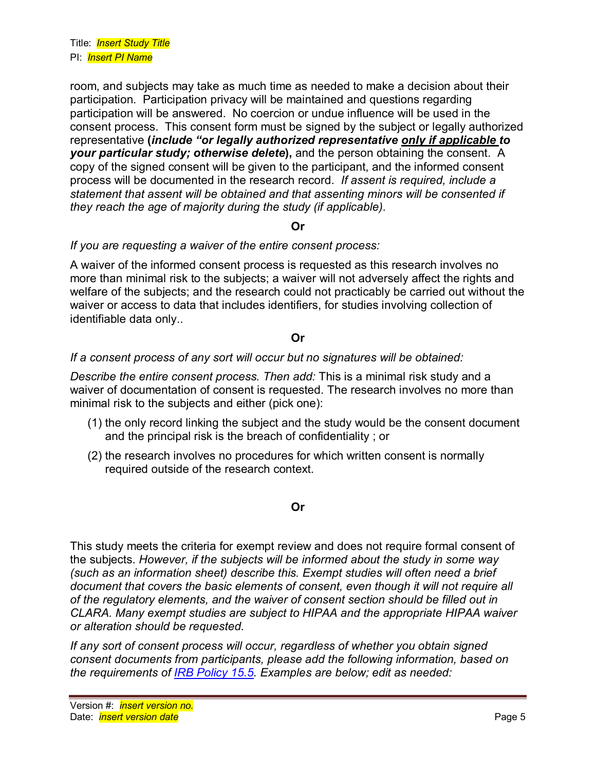room, and subjects may take as much time as needed to make a decision about their participation. Participation privacy will be maintained and questions regarding participation will be answered. No coercion or undue influence will be used in the consent process. This consent form must be signed by the subject or legally authorized representative **(***include "or legally authorized representative only if applicable to your particular study; otherwise delete***),** and the person obtaining the consent. A copy of the signed consent will be given to the participant, and the informed consent process will be documented in the research record. *If assent is required, include a statement that assent will be obtained and that assenting minors will be consented if they reach the age of majority during the study (if applicable).*

### **Or**

### *If you are requesting a waiver of the entire consent process:*

A waiver of the informed consent process is requested as this research involves no more than minimal risk to the subjects; a waiver will not adversely affect the rights and welfare of the subjects; and the research could not practicably be carried out without the waiver or access to data that includes identifiers, for studies involving collection of identifiable data only..

### **Or**

### *If a consent process of any sort will occur but no signatures will be obtained:*

*Describe the entire consent process. Then add:* This is a minimal risk study and a waiver of documentation of consent is requested. The research involves no more than minimal risk to the subjects and either (pick one):

- (1) the only record linking the subject and the study would be the consent document and the principal risk is the breach of confidentiality ; or
- (2) the research involves no procedures for which written consent is normally required outside of the research context.

#### **Or**

This study meets the criteria for exempt review and does not require formal consent of the subjects. *However, if the subjects will be informed about the study in some way (such as an information sheet) describe this. Exempt studies will often need a brief document that covers the basic elements of consent, even though it will not require all of the regulatory elements, and the waiver of consent section should be filled out in CLARA. Many exempt studies are subject to HIPAA and the appropriate HIPAA waiver or alteration should be requested.* 

*If any sort of consent process will occur, regardless of whether you obtain signed consent documents from participants, please add the following information, based on the requirements of [IRB Policy 15.5.](http://irb.uams.edu/wp-content/uploads/sites/127/2020/08/IRB-Policy-15.5-Informed-consent-process-FINAL.pdf) Examples are below; edit as needed:*